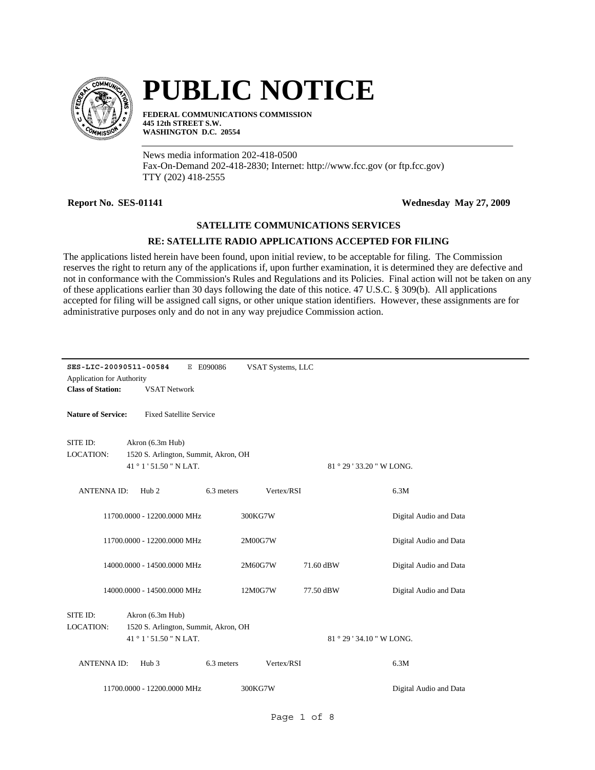

## **PUBLIC NOTICE**

**FEDERAL COMMUNICATIONS COMMISSION 445 12th STREET S.W. WASHINGTON D.C. 20554**

News media information 202-418-0500 Fax-On-Demand 202-418-2830; Internet: http://www.fcc.gov (or ftp.fcc.gov) TTY (202) 418-2555

**Report No. SES-01141 Wednesday May 27, 2009**

## **SATELLITE COMMUNICATIONS SERVICES**

## **RE: SATELLITE RADIO APPLICATIONS ACCEPTED FOR FILING**

The applications listed herein have been found, upon initial review, to be acceptable for filing. The Commission reserves the right to return any of the applications if, upon further examination, it is determined they are defective and not in conformance with the Commission's Rules and Regulations and its Policies. Final action will not be taken on any of these applications earlier than 30 days following the date of this notice. 47 U.S.C. § 309(b). All applications accepted for filing will be assigned call signs, or other unique station identifiers. However, these assignments are for administrative purposes only and do not in any way prejudice Commission action.

| SES-LIC-20090511-00584<br>E E090086<br>VSAT Systems, LLC<br><b>Application for Authority</b><br><b>Class of Station:</b><br><b>VSAT Network</b> |                                                          |            |            |                           |                        |  |
|-------------------------------------------------------------------------------------------------------------------------------------------------|----------------------------------------------------------|------------|------------|---------------------------|------------------------|--|
| <b>Nature of Service:</b><br><b>Fixed Satellite Service</b>                                                                                     |                                                          |            |            |                           |                        |  |
| SITE ID:<br><b>LOCATION:</b>                                                                                                                    | Akron (6.3m Hub)<br>1520 S. Arlington, Summit, Akron, OH |            |            |                           |                        |  |
|                                                                                                                                                 | 41°1'51.50" NLAT.                                        |            |            | 81 ° 29 ' 33.20 " W LONG. |                        |  |
| <b>ANTENNAID:</b>                                                                                                                               | Hub <sub>2</sub>                                         | 6.3 meters | Vertex/RSI |                           | 6.3M                   |  |
|                                                                                                                                                 | 11700.0000 - 12200.0000 MHz                              |            | 300KG7W    |                           | Digital Audio and Data |  |
|                                                                                                                                                 | 11700.0000 - 12200.0000 MHz                              |            | 2M00G7W    |                           | Digital Audio and Data |  |
|                                                                                                                                                 | 14000.0000 - 14500.0000 MHz                              |            | 2M60G7W    | 71.60 dBW                 | Digital Audio and Data |  |
|                                                                                                                                                 | 14000.0000 - 14500.0000 MHz                              |            | 12M0G7W    | 77.50 dBW                 | Digital Audio and Data |  |
| SITE ID:<br>Akron (6.3m Hub)<br>LOCATION:<br>1520 S. Arlington, Summit, Akron, OH<br>41°1'51.50" NLAT.<br>81 ° 29 ' 34.10 " W LONG.             |                                                          |            |            |                           |                        |  |
| <b>ANTENNAID:</b>                                                                                                                               | Hub <sub>3</sub>                                         | 6.3 meters | Vertex/RSI |                           | 6.3M                   |  |
| 11700.0000 - 12200.0000 MHz<br>Digital Audio and Data<br>300KG7W                                                                                |                                                          |            |            |                           |                        |  |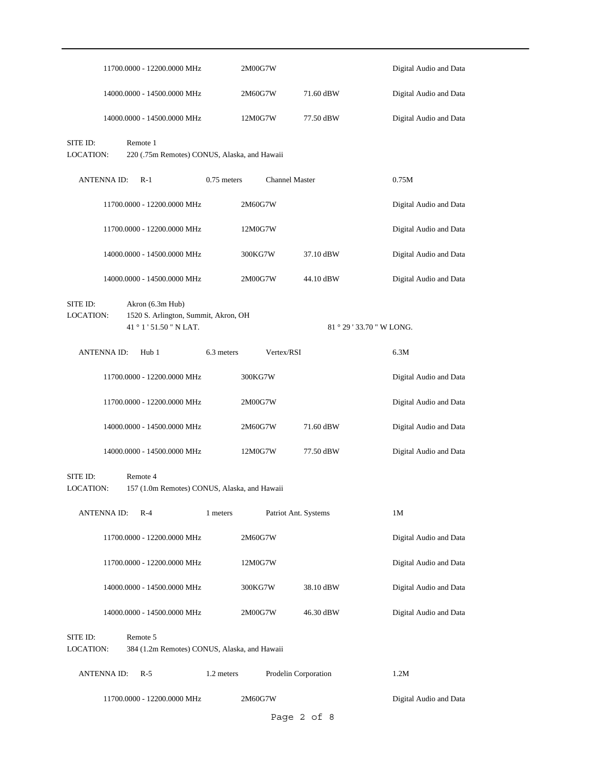|                              |                    | 11700.0000 - 12200.0000 MHz                                     |               | 2M00G7W               |                           | Digital Audio and Data |
|------------------------------|--------------------|-----------------------------------------------------------------|---------------|-----------------------|---------------------------|------------------------|
|                              |                    | 14000.0000 - 14500.0000 MHz                                     |               | 2M60G7W               | 71.60 dBW                 | Digital Audio and Data |
|                              |                    | 14000.0000 - 14500.0000 MHz                                     |               | 12M0G7W               | 77.50 dBW                 | Digital Audio and Data |
| SITE ID:<br><b>LOCATION:</b> |                    | Remote 1<br>220 (.75m Remotes) CONUS, Alaska, and Hawaii        |               |                       |                           |                        |
|                              | <b>ANTENNAID:</b>  | $R-1$                                                           | $0.75$ meters | <b>Channel Master</b> |                           | 0.75M                  |
|                              |                    | 11700.0000 - 12200.0000 MHz                                     |               | 2M60G7W               |                           | Digital Audio and Data |
|                              |                    | 11700.0000 - 12200.0000 MHz                                     |               | 12M0G7W               |                           | Digital Audio and Data |
|                              |                    | 14000.0000 - 14500.0000 MHz                                     |               | 300KG7W               | 37.10 dBW                 | Digital Audio and Data |
|                              |                    | 14000.0000 - 14500.0000 MHz                                     |               | 2M00G7W               | 44.10 dBW                 | Digital Audio and Data |
| SITE ID:                     |                    | Akron (6.3m Hub)                                                |               |                       |                           |                        |
| <b>LOCATION:</b>             |                    | 1520 S. Arlington, Summit, Akron, OH<br>41 ° 1 ' 51.50 " N LAT. |               |                       | 81 ° 29 ' 33.70 " W LONG. |                        |
|                              | <b>ANTENNA ID:</b> | Hub 1                                                           | 6.3 meters    | Vertex/RSI            |                           | 6.3M                   |
|                              |                    | 11700.0000 - 12200.0000 MHz                                     |               | 300KG7W               |                           | Digital Audio and Data |
|                              |                    | 11700.0000 - 12200.0000 MHz                                     |               | 2M00G7W               |                           | Digital Audio and Data |
|                              |                    | 14000.0000 - 14500.0000 MHz                                     |               | 2M60G7W               | 71.60 dBW                 | Digital Audio and Data |
|                              |                    | 14000.0000 - 14500.0000 MHz                                     |               | 12M0G7W               | 77.50 dBW                 | Digital Audio and Data |
| SITE ID:<br>LOCATION:        |                    | Remote 4<br>157 (1.0m Remotes) CONUS, Alaska, and Hawaii        |               |                       |                           |                        |
|                              | <b>ANTENNA ID:</b> | $R-4$                                                           | 1 meters      | Patriot Ant. Systems  |                           | 1M                     |
|                              |                    | 11700.0000 - 12200.0000 MHz                                     |               | 2M60G7W               |                           | Digital Audio and Data |
|                              |                    | 11700.0000 - 12200.0000 MHz                                     |               | 12M0G7W               |                           | Digital Audio and Data |
|                              |                    | 14000.0000 - 14500.0000 MHz                                     |               | 300KG7W               | 38.10 dBW                 | Digital Audio and Data |
|                              |                    | 14000.0000 - 14500.0000 MHz                                     |               | 2M00G7W               | 46.30 dBW                 | Digital Audio and Data |
| SITE ID:<br>LOCATION:        |                    | Remote 5<br>384 (1.2m Remotes) CONUS, Alaska, and Hawaii        |               |                       |                           |                        |
|                              | <b>ANTENNA ID:</b> | $R-5$                                                           | 1.2 meters    | Prodelin Corporation  |                           | 1.2M                   |
|                              |                    | 11700.0000 - 12200.0000 MHz                                     |               | 2M60G7W               |                           | Digital Audio and Data |
|                              |                    |                                                                 |               |                       | Page 2 of 8               |                        |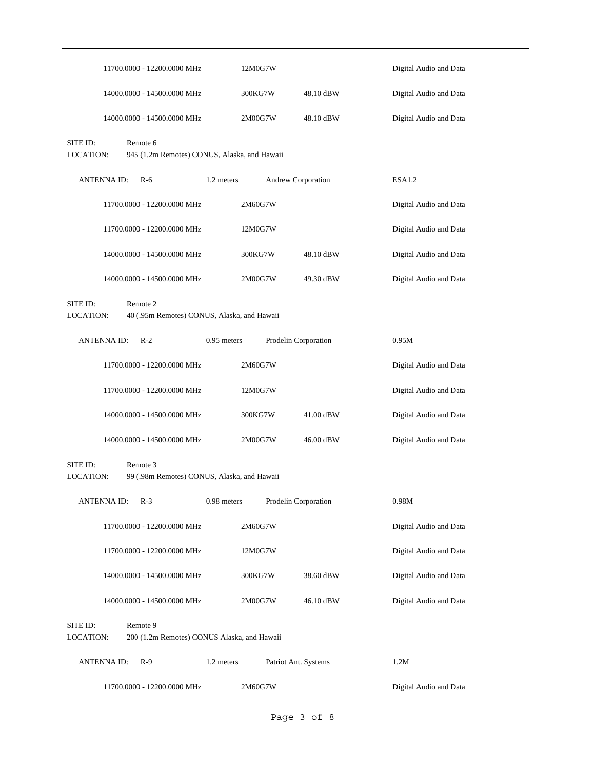|                              |                    | 11700.0000 - 12200.0000 MHz                              |             | 12M0G7W |                           |           | Digital Audio and Data |
|------------------------------|--------------------|----------------------------------------------------------|-------------|---------|---------------------------|-----------|------------------------|
|                              |                    | 14000.0000 - 14500.0000 MHz                              |             | 300KG7W |                           | 48.10 dBW | Digital Audio and Data |
|                              |                    | 14000.0000 - 14500.0000 MHz                              |             | 2M00G7W |                           | 48.10 dBW | Digital Audio and Data |
| SITE ID:<br><b>LOCATION:</b> |                    | Remote 6<br>945 (1.2m Remotes) CONUS, Alaska, and Hawaii |             |         |                           |           |                        |
|                              | <b>ANTENNAID:</b>  | $R-6$                                                    | 1.2 meters  |         | <b>Andrew Corporation</b> |           | ESA <sub>1.2</sub>     |
|                              |                    | 11700.0000 - 12200.0000 MHz                              |             | 2M60G7W |                           |           | Digital Audio and Data |
|                              |                    | 11700.0000 - 12200.0000 MHz                              |             | 12M0G7W |                           |           | Digital Audio and Data |
|                              |                    | 14000.0000 - 14500.0000 MHz                              |             | 300KG7W |                           | 48.10 dBW | Digital Audio and Data |
|                              |                    | 14000.0000 - 14500.0000 MHz                              |             | 2M00G7W |                           | 49.30 dBW | Digital Audio and Data |
| SITE ID:<br><b>LOCATION:</b> |                    | Remote 2<br>40 (.95m Remotes) CONUS, Alaska, and Hawaii  |             |         |                           |           |                        |
|                              | <b>ANTENNA ID:</b> | $R-2$                                                    | 0.95 meters |         | Prodelin Corporation      |           | 0.95M                  |
|                              |                    | 11700.0000 - 12200.0000 MHz                              |             | 2M60G7W |                           |           | Digital Audio and Data |
|                              |                    | 11700.0000 - 12200.0000 MHz                              |             | 12M0G7W |                           |           | Digital Audio and Data |
|                              |                    | 14000.0000 - 14500.0000 MHz                              |             | 300KG7W |                           | 41.00 dBW | Digital Audio and Data |
|                              |                    | 14000.0000 - 14500.0000 MHz                              |             | 2M00G7W |                           | 46.00 dBW | Digital Audio and Data |
| SITE ID:<br>LOCATION:        |                    | Remote 3<br>99 (.98m Remotes) CONUS, Alaska, and Hawaii  |             |         |                           |           |                        |
|                              | ANTENNA ID:        | $R-3$                                                    | 0.98 meters |         | Prodelin Corporation      |           | 0.98M                  |
|                              |                    | 11700.0000 - 12200.0000 MHz                              |             | 2M60G7W |                           |           | Digital Audio and Data |
|                              |                    | 11700.0000 - 12200.0000 MHz                              |             | 12M0G7W |                           |           | Digital Audio and Data |
|                              |                    | 14000.0000 - 14500.0000 MHz                              |             | 300KG7W |                           | 38.60 dBW | Digital Audio and Data |
|                              |                    | 14000.0000 - 14500.0000 MHz                              |             | 2M00G7W |                           | 46.10 dBW | Digital Audio and Data |
| SITE ID:<br>LOCATION:        |                    | Remote 9<br>200 (1.2m Remotes) CONUS Alaska, and Hawaii  |             |         |                           |           |                        |
|                              | <b>ANTENNA ID:</b> | $R-9$                                                    | 1.2 meters  |         | Patriot Ant. Systems      |           | 1.2M                   |
|                              |                    | 11700.0000 - 12200.0000 MHz                              |             | 2M60G7W |                           |           | Digital Audio and Data |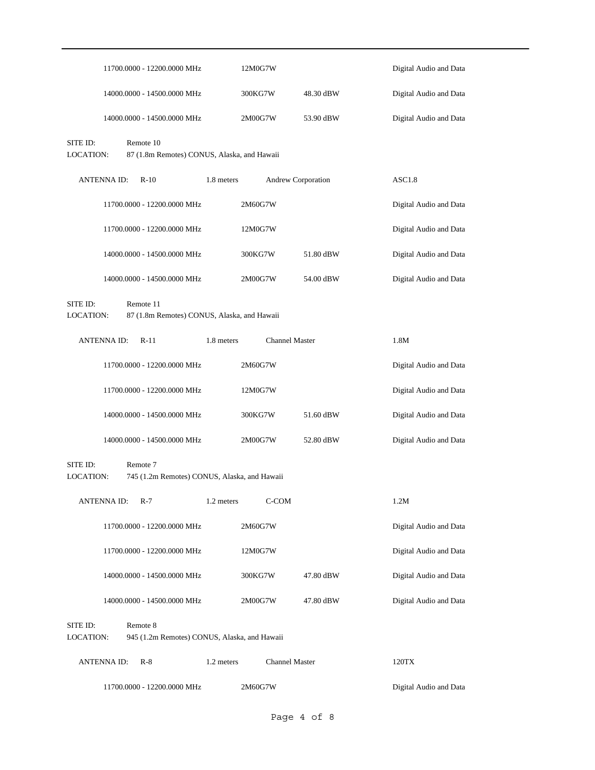|                       | 11700.0000 - 12200.0000 MHz                              |            | 12M0G7W               |           | Digital Audio and Data |
|-----------------------|----------------------------------------------------------|------------|-----------------------|-----------|------------------------|
|                       | 14000.0000 - 14500.0000 MHz                              |            | 300KG7W               | 48.30 dBW | Digital Audio and Data |
|                       | 14000.0000 - 14500.0000 MHz                              |            | 2M00G7W               | 53.90 dBW | Digital Audio and Data |
| SITE ID:<br>LOCATION: | Remote 10<br>87 (1.8m Remotes) CONUS, Alaska, and Hawaii |            |                       |           |                        |
| <b>ANTENNAID:</b>     | $R-10$                                                   | 1.8 meters | Andrew Corporation    |           | ASC1.8                 |
|                       | 11700.0000 - 12200.0000 MHz                              |            | 2M60G7W               |           | Digital Audio and Data |
|                       | 11700.0000 - 12200.0000 MHz                              |            | 12M0G7W               |           | Digital Audio and Data |
|                       | 14000.0000 - 14500.0000 MHz                              |            | 300KG7W               | 51.80 dBW | Digital Audio and Data |
|                       | 14000.0000 - 14500.0000 MHz                              |            | 2M00G7W               | 54.00 dBW | Digital Audio and Data |
| SITE ID:<br>LOCATION: | Remote 11<br>87 (1.8m Remotes) CONUS, Alaska, and Hawaii |            |                       |           |                        |
| <b>ANTENNA ID:</b>    | $R-11$                                                   | 1.8 meters | <b>Channel Master</b> |           | 1.8M                   |
|                       | 11700.0000 - 12200.0000 MHz                              |            | 2M60G7W               |           | Digital Audio and Data |
|                       | 11700.0000 - 12200.0000 MHz                              |            | 12M0G7W               |           | Digital Audio and Data |
|                       | 14000.0000 - 14500.0000 MHz                              |            | 300KG7W               | 51.60 dBW | Digital Audio and Data |
|                       | 14000.0000 - 14500.0000 MHz                              |            | 2M00G7W               | 52.80 dBW | Digital Audio and Data |
| SITE ID:<br>LOCATION: | Remote 7<br>745 (1.2m Remotes) CONUS, Alaska, and Hawaii |            |                       |           |                        |
| <b>ANTENNA ID:</b>    | $R-7$                                                    | 1.2 meters | C-COM                 |           | 1.2M                   |
|                       | 11700.0000 - 12200.0000 MHz                              |            | 2M60G7W               |           | Digital Audio and Data |
|                       | 11700.0000 - 12200.0000 MHz                              |            | 12M0G7W               |           | Digital Audio and Data |
|                       | 14000.0000 - 14500.0000 MHz                              |            | 300KG7W               | 47.80 dBW | Digital Audio and Data |
|                       | 14000.0000 - 14500.0000 MHz                              |            | 2M00G7W               | 47.80 dBW | Digital Audio and Data |
| SITE ID:<br>LOCATION: | Remote 8<br>945 (1.2m Remotes) CONUS, Alaska, and Hawaii |            |                       |           |                        |
| <b>ANTENNA ID:</b>    | $R-8$                                                    | 1.2 meters | <b>Channel Master</b> |           | 120TX                  |
|                       | 11700.0000 - 12200.0000 MHz                              |            | 2M60G7W               |           | Digital Audio and Data |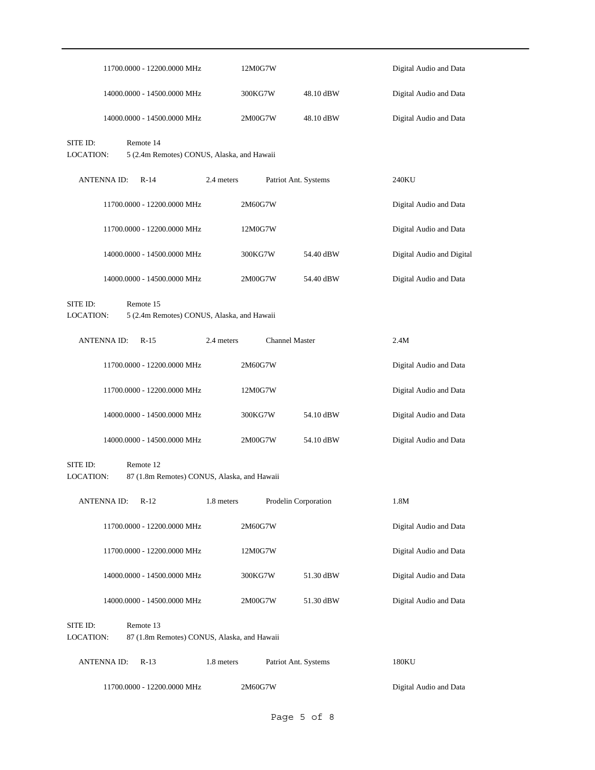|                              |                    | 11700.0000 - 12200.0000 MHz                              |            | 12M0G7W |                       | Digital Audio and Data    |
|------------------------------|--------------------|----------------------------------------------------------|------------|---------|-----------------------|---------------------------|
|                              |                    | 14000.0000 - 14500.0000 MHz                              |            | 300KG7W | 48.10 dBW             | Digital Audio and Data    |
|                              |                    | 14000.0000 - 14500.0000 MHz                              |            | 2M00G7W | 48.10 dBW             | Digital Audio and Data    |
| SITE ID:<br><b>LOCATION:</b> |                    | Remote 14<br>5 (2.4m Remotes) CONUS, Alaska, and Hawaii  |            |         |                       |                           |
|                              | <b>ANTENNAID:</b>  | $R-14$                                                   | 2.4 meters |         | Patriot Ant. Systems  | 240KU                     |
|                              |                    | 11700.0000 - 12200.0000 MHz                              |            | 2M60G7W |                       | Digital Audio and Data    |
|                              |                    | 11700.0000 - 12200.0000 MHz                              |            | 12M0G7W |                       | Digital Audio and Data    |
|                              |                    | 14000.0000 - 14500.0000 MHz                              |            | 300KG7W | 54.40 dBW             | Digital Audio and Digital |
|                              |                    | 14000.0000 - 14500.0000 MHz                              |            | 2M00G7W | 54.40 dBW             | Digital Audio and Data    |
| SITE ID:<br><b>LOCATION:</b> |                    | Remote 15<br>5 (2.4m Remotes) CONUS, Alaska, and Hawaii  |            |         |                       |                           |
|                              | <b>ANTENNA ID:</b> | $R-15$                                                   | 2.4 meters |         | <b>Channel Master</b> | 2.4M                      |
|                              |                    | 11700.0000 - 12200.0000 MHz                              |            | 2M60G7W |                       | Digital Audio and Data    |
|                              |                    | 11700.0000 - 12200.0000 MHz                              |            | 12M0G7W |                       | Digital Audio and Data    |
|                              |                    | 14000.0000 - 14500.0000 MHz                              |            | 300KG7W | 54.10 dBW             | Digital Audio and Data    |
|                              |                    | 14000.0000 - 14500.0000 MHz                              |            | 2M00G7W | 54.10 dBW             | Digital Audio and Data    |
| SITE ID:<br>LOCATION:        |                    | Remote 12<br>87 (1.8m Remotes) CONUS, Alaska, and Hawaii |            |         |                       |                           |
|                              | <b>ANTENNAID:</b>  | $R-12$                                                   | 1.8 meters |         | Prodelin Corporation  | $1.8\mathrm{M}$           |
|                              |                    | 11700.0000 - 12200.0000 MHz                              |            | 2M60G7W |                       | Digital Audio and Data    |
|                              |                    | 11700.0000 - 12200.0000 MHz                              |            | 12M0G7W |                       | Digital Audio and Data    |
|                              |                    | 14000.0000 - 14500.0000 MHz                              |            | 300KG7W | 51.30 dBW             | Digital Audio and Data    |
|                              |                    | 14000.0000 - 14500.0000 MHz                              |            | 2M00G7W | 51.30 dBW             | Digital Audio and Data    |
| SITE ID:<br>LOCATION:        |                    | Remote 13<br>87 (1.8m Remotes) CONUS, Alaska, and Hawaii |            |         |                       |                           |
|                              | <b>ANTENNAID:</b>  | $R-13$                                                   | 1.8 meters |         | Patriot Ant. Systems  | 180KU                     |
|                              |                    | 11700.0000 - 12200.0000 MHz                              |            | 2M60G7W |                       | Digital Audio and Data    |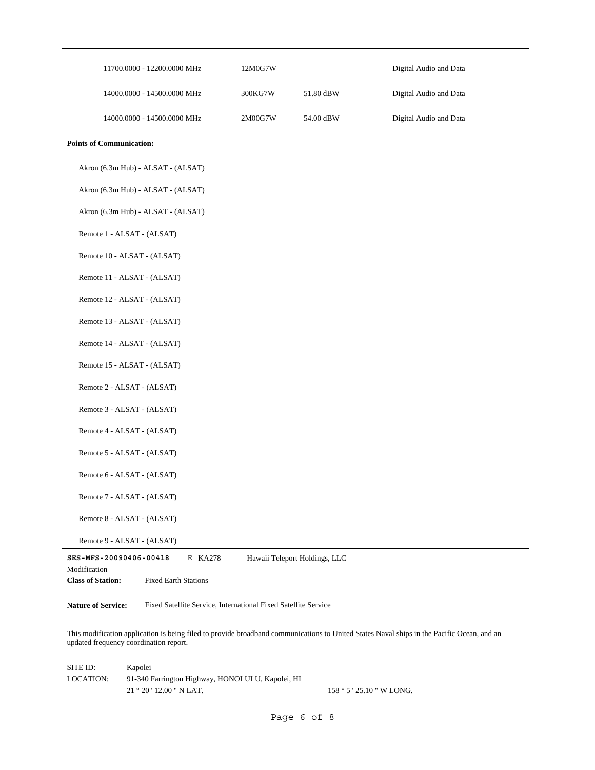| 11700.0000 - 12200.0000 MHz                                                                                  | 12M0G7W |                               | Digital Audio and Data |
|--------------------------------------------------------------------------------------------------------------|---------|-------------------------------|------------------------|
| 14000.0000 - 14500.0000 MHz                                                                                  | 300KG7W | 51.80 dBW                     | Digital Audio and Data |
| 14000.0000 - 14500.0000 MHz                                                                                  | 2M00G7W | 54.00 dBW                     | Digital Audio and Data |
| <b>Points of Communication:</b>                                                                              |         |                               |                        |
| Akron (6.3m Hub) - ALSAT - (ALSAT)                                                                           |         |                               |                        |
| Akron (6.3m Hub) - ALSAT - (ALSAT)                                                                           |         |                               |                        |
| Akron (6.3m Hub) - ALSAT - (ALSAT)                                                                           |         |                               |                        |
| Remote 1 - ALSAT - (ALSAT)                                                                                   |         |                               |                        |
| Remote 10 - ALSAT - (ALSAT)                                                                                  |         |                               |                        |
| Remote 11 - ALSAT - (ALSAT)                                                                                  |         |                               |                        |
| Remote 12 - ALSAT - (ALSAT)                                                                                  |         |                               |                        |
| Remote 13 - ALSAT - (ALSAT)                                                                                  |         |                               |                        |
| Remote 14 - ALSAT - (ALSAT)                                                                                  |         |                               |                        |
| Remote 15 - ALSAT - (ALSAT)                                                                                  |         |                               |                        |
| Remote 2 - ALSAT - (ALSAT)                                                                                   |         |                               |                        |
| Remote 3 - ALSAT - (ALSAT)                                                                                   |         |                               |                        |
| Remote 4 - ALSAT - (ALSAT)                                                                                   |         |                               |                        |
| Remote 5 - ALSAT - (ALSAT)                                                                                   |         |                               |                        |
| Remote 6 - ALSAT - (ALSAT)                                                                                   |         |                               |                        |
| Remote 7 - ALSAT - (ALSAT)                                                                                   |         |                               |                        |
| Remote 8 - ALSAT - (ALSAT)                                                                                   |         |                               |                        |
| Remote 9 - ALSAT - (ALSAT)                                                                                   |         |                               |                        |
| SES-MFS-20090406-00418<br>E KA278<br>Modification<br><b>Class of Station:</b><br><b>Fixed Earth Stations</b> |         | Hawaii Teleport Holdings, LLC |                        |

**Nature of Service:** Fixed Satellite Service, International Fixed Satellite Service

This modification application is being filed to provide broadband communications to United States Naval ships in the Pacific Ocean, and an updated frequency coordination report.

| SITE ID:  | Kapolei                                          |                      |
|-----------|--------------------------------------------------|----------------------|
| LOCATION: | 91-340 Farrington Highway, HONOLULU, Kapolei, HI |                      |
|           | $21 \degree 20 \degree 12.00 \degree N$ LAT.     | 158°5'25.10" W LONG. |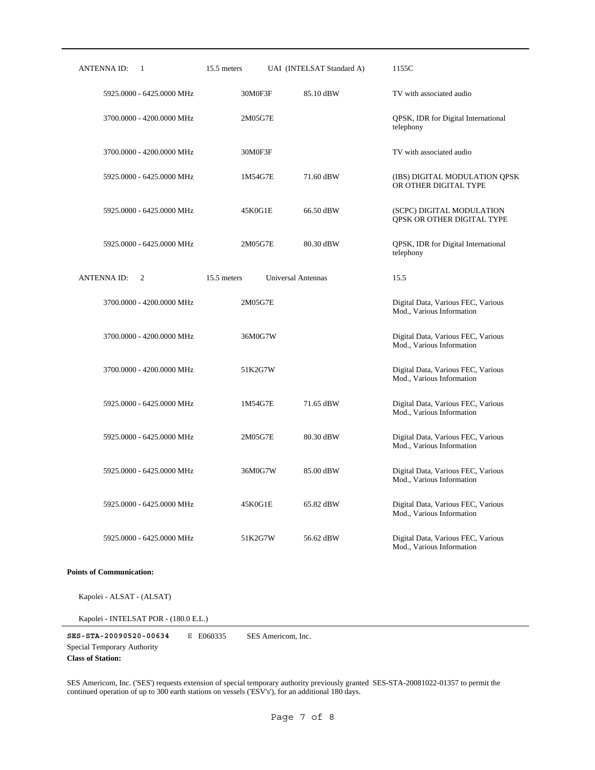| <b>ANTENNA ID:</b><br>$\mathbf{1}$ | 15.5 meters | UAI (INTELSAT Standard A) | 1155C                                                           |
|------------------------------------|-------------|---------------------------|-----------------------------------------------------------------|
| 5925.0000 - 6425.0000 MHz          | 30M0F3F     | 85.10 dBW                 | TV with associated audio                                        |
| 3700.0000 - 4200.0000 MHz          | 2M05G7E     |                           | QPSK, IDR for Digital International<br>telephony                |
| 3700.0000 - 4200.0000 MHz          | 30M0F3F     |                           | TV with associated audio                                        |
| 5925.0000 - 6425.0000 MHz          | 1M54G7E     | 71.60 dBW                 | (IBS) DIGITAL MODULATION QPSK<br>OR OTHER DIGITAL TYPE          |
| 5925.0000 - 6425.0000 MHz          | 45K0G1E     | 66.50 dBW                 | (SCPC) DIGITAL MODULATION<br>QPSK OR OTHER DIGITAL TYPE         |
| 5925.0000 - 6425.0000 MHz          | 2M05G7E     | 80.30 dBW                 | QPSK, IDR for Digital International<br>telephony                |
| <b>ANTENNAID:</b><br>2             | 15.5 meters | Universal Antennas        | 15.5                                                            |
| 3700.0000 - 4200.0000 MHz          | 2M05G7E     |                           | Digital Data, Various FEC, Various<br>Mod., Various Information |
| 3700.0000 - 4200.0000 MHz          | 36M0G7W     |                           | Digital Data, Various FEC, Various<br>Mod., Various Information |
| 3700.0000 - 4200.0000 MHz          | 51K2G7W     |                           | Digital Data, Various FEC, Various<br>Mod., Various Information |
| 5925,0000 - 6425,0000 MHz          | 1M54G7E     | 71.65 dBW                 | Digital Data, Various FEC, Various<br>Mod., Various Information |
| 5925.0000 - 6425.0000 MHz          | 2M05G7E     | 80.30 dBW                 | Digital Data, Various FEC, Various<br>Mod., Various Information |
| 5925.0000 - 6425.0000 MHz          | 36M0G7W     | 85.00 dBW                 | Digital Data, Various FEC, Various<br>Mod., Various Information |
| 5925.0000 - 6425.0000 MHz          | 45K0G1E     | 65.82 dBW                 | Digital Data, Various FEC, Various<br>Mod., Various Information |
| 5925,0000 - 6425,0000 MHz          | 51K2G7W     | 56.62 dBW                 | Digital Data, Various FEC, Various<br>Mod., Various Information |

**Points of Communication:**

Kapolei - ALSAT - (ALSAT)

Kapolei - INTELSAT POR - (180.0 E.L.)

**SES-STA-20090520-00634** E E060335 **Class of Station:** Special Temporary Authority SES Americom, Inc.

SES Americom, Inc. ('SES') requests extension of special temporary authority previously granted SES-STA-20081022-01357 to permit the continued operation of up to 300 earth stations on vessels ('ESV's'), for an additional 180 days.